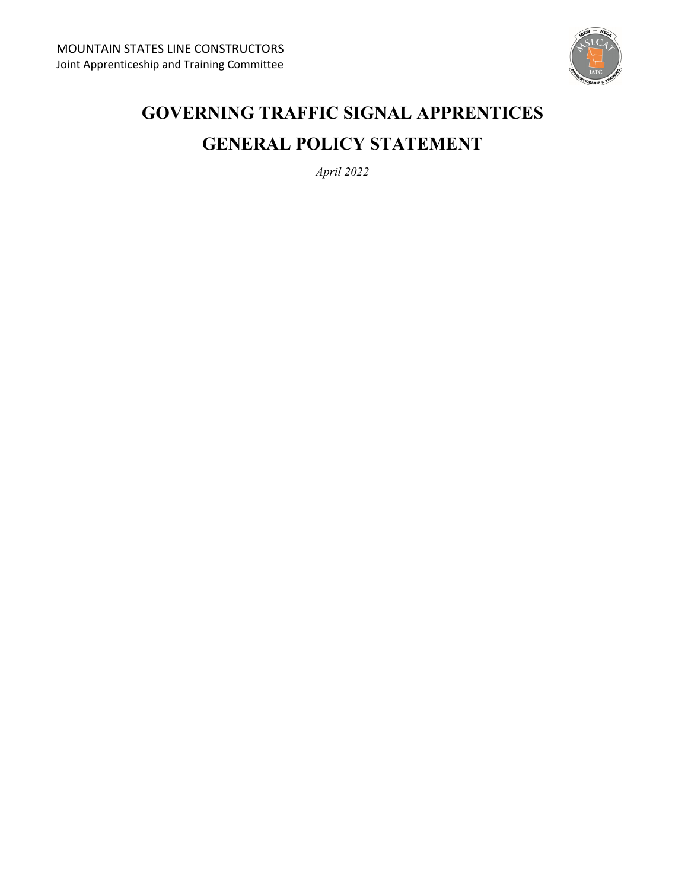

# **GOVERNING TRAFFIC SIGNAL APPRENTICES GENERAL POLICY STATEMENT**

*April 2022*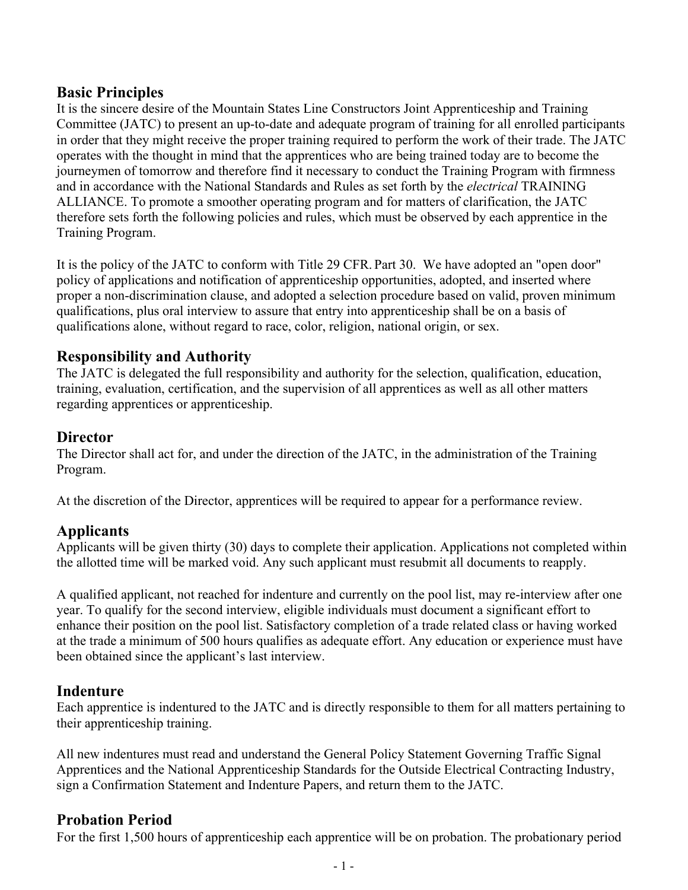## **Basic Principles**

It is the sincere desire of the Mountain States Line Constructors Joint Apprenticeship and Training Committee (JATC) to present an up-to-date and adequate program of training for all enrolled participants in order that they might receive the proper training required to perform the work of their trade. The JATC operates with the thought in mind that the apprentices who are being trained today are to become the journeymen of tomorrow and therefore find it necessary to conduct the Training Program with firmness and in accordance with the National Standards and Rules as set forth by the *electrical* TRAINING ALLIANCE. To promote a smoother operating program and for matters of clarification, the JATC therefore sets forth the following policies and rules, which must be observed by each apprentice in the Training Program.

It is the policy of the JATC to conform with Title 29 CFR. Part 30. We have adopted an "open door" policy of applications and notification of apprenticeship opportunities, adopted, and inserted where proper a non-discrimination clause, and adopted a selection procedure based on valid, proven minimum qualifications, plus oral interview to assure that entry into apprenticeship shall be on a basis of qualifications alone, without regard to race, color, religion, national origin, or sex.

# **Responsibility and Authority**

The JATC is delegated the full responsibility and authority for the selection, qualification, education, training, evaluation, certification, and the supervision of all apprentices as well as all other matters regarding apprentices or apprenticeship.

## **Director**

The Director shall act for, and under the direction of the JATC, in the administration of the Training Program.

At the discretion of the Director, apprentices will be required to appear for a performance review.

## **Applicants**

Applicants will be given thirty (30) days to complete their application. Applications not completed within the allotted time will be marked void. Any such applicant must resubmit all documents to reapply.

A qualified applicant, not reached for indenture and currently on the pool list, may re-interview after one year. To qualify for the second interview, eligible individuals must document a significant effort to enhance their position on the pool list. Satisfactory completion of a trade related class or having worked at the trade a minimum of 500 hours qualifies as adequate effort. Any education or experience must have been obtained since the applicant's last interview.

#### **Indenture**

Each apprentice is indentured to the JATC and is directly responsible to them for all matters pertaining to their apprenticeship training.

All new indentures must read and understand the General Policy Statement Governing Traffic Signal Apprentices and the National Apprenticeship Standards for the Outside Electrical Contracting Industry, sign a Confirmation Statement and Indenture Papers, and return them to the JATC.

## **Probation Period**

For the first 1,500 hours of apprenticeship each apprentice will be on probation. The probationary period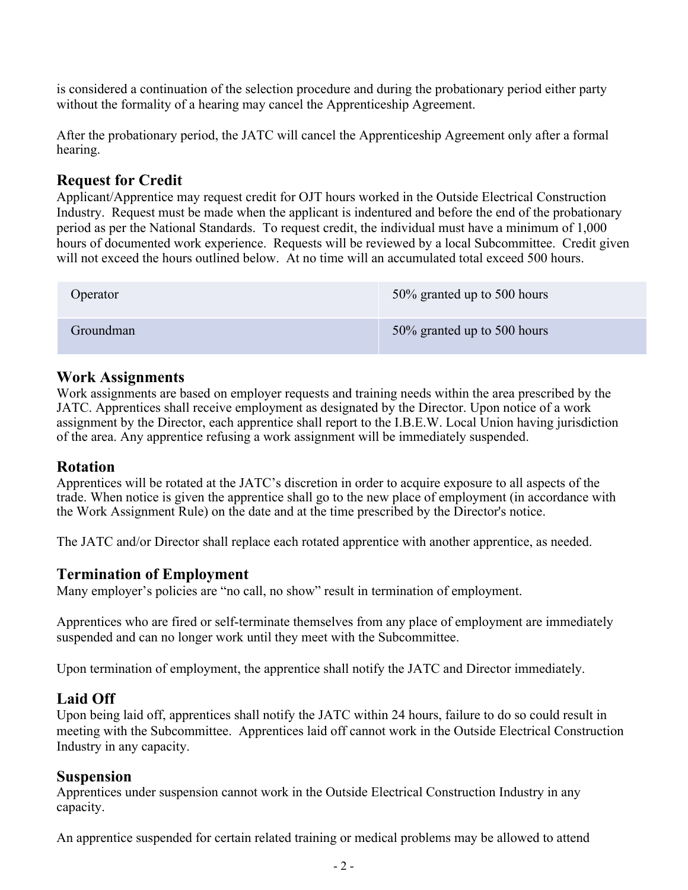is considered a continuation of the selection procedure and during the probationary period either party without the formality of a hearing may cancel the Apprenticeship Agreement.

After the probationary period, the JATC will cancel the Apprenticeship Agreement only after a formal hearing.

# **Request for Credit**

Applicant/Apprentice may request credit for OJT hours worked in the Outside Electrical Construction Industry. Request must be made when the applicant is indentured and before the end of the probationary period as per the National Standards. To request credit, the individual must have a minimum of 1,000 hours of documented work experience. Requests will be reviewed by a local Subcommittee. Credit given will not exceed the hours outlined below. At no time will an accumulated total exceed 500 hours.

| Operator  | 50% granted up to 500 hours |
|-----------|-----------------------------|
| Groundman | 50% granted up to 500 hours |

#### **Work Assignments**

Work assignments are based on employer requests and training needs within the area prescribed by the JATC. Apprentices shall receive employment as designated by the Director. Upon notice of a work assignment by the Director, each apprentice shall report to the I.B.E.W. Local Union having jurisdiction of the area. Any apprentice refusing a work assignment will be immediately suspended.

#### **Rotation**

Apprentices will be rotated at the JATC's discretion in order to acquire exposure to all aspects of the trade. When notice is given the apprentice shall go to the new place of employment (in accordance with the Work Assignment Rule) on the date and at the time prescribed by the Director's notice.

The JATC and/or Director shall replace each rotated apprentice with another apprentice, as needed.

#### **Termination of Employment**

Many employer's policies are "no call, no show" result in termination of employment.

Apprentices who are fired or self-terminate themselves from any place of employment are immediately suspended and can no longer work until they meet with the Subcommittee.

Upon termination of employment, the apprentice shall notify the JATC and Director immediately.

#### **Laid Off**

Upon being laid off, apprentices shall notify the JATC within 24 hours, failure to do so could result in meeting with the Subcommittee. Apprentices laid off cannot work in the Outside Electrical Construction Industry in any capacity.

#### **Suspension**

Apprentices under suspension cannot work in the Outside Electrical Construction Industry in any capacity.

An apprentice suspended for certain related training or medical problems may be allowed to attend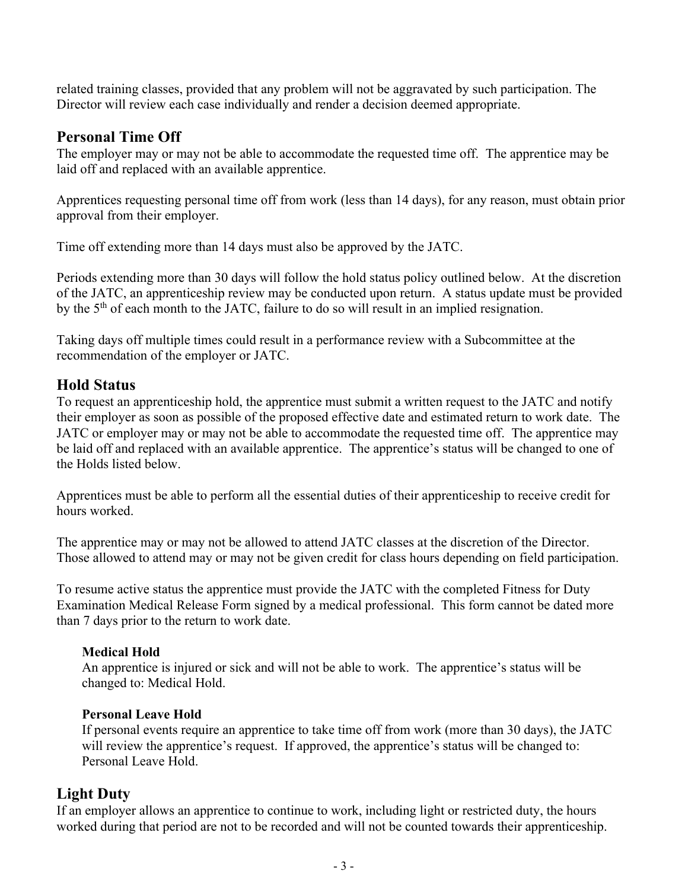related training classes, provided that any problem will not be aggravated by such participation. The Director will review each case individually and render a decision deemed appropriate.

## **Personal Time Off**

The employer may or may not be able to accommodate the requested time off. The apprentice may be laid off and replaced with an available apprentice.

Apprentices requesting personal time off from work (less than 14 days), for any reason, must obtain prior approval from their employer.

Time off extending more than 14 days must also be approved by the JATC.

Periods extending more than 30 days will follow the hold status policy outlined below. At the discretion of the JATC, an apprenticeship review may be conducted upon return. A status update must be provided by the 5<sup>th</sup> of each month to the JATC, failure to do so will result in an implied resignation.

Taking days off multiple times could result in a performance review with a Subcommittee at the recommendation of the employer or JATC.

# **Hold Status**

To request an apprenticeship hold, the apprentice must submit a written request to the JATC and notify their employer as soon as possible of the proposed effective date and estimated return to work date. The JATC or employer may or may not be able to accommodate the requested time off. The apprentice may be laid off and replaced with an available apprentice. The apprentice's status will be changed to one of the Holds listed below.

Apprentices must be able to perform all the essential duties of their apprenticeship to receive credit for hours worked.

The apprentice may or may not be allowed to attend JATC classes at the discretion of the Director. Those allowed to attend may or may not be given credit for class hours depending on field participation.

To resume active status the apprentice must provide the JATC with the completed Fitness for Duty Examination Medical Release Form signed by a medical professional. This form cannot be dated more than 7 days prior to the return to work date.

#### **Medical Hold**

An apprentice is injured or sick and will not be able to work. The apprentice's status will be changed to: Medical Hold.

#### **Personal Leave Hold**

If personal events require an apprentice to take time off from work (more than 30 days), the JATC will review the apprentice's request. If approved, the apprentice's status will be changed to: Personal Leave Hold.

## **Light Duty**

If an employer allows an apprentice to continue to work, including light or restricted duty, the hours worked during that period are not to be recorded and will not be counted towards their apprenticeship.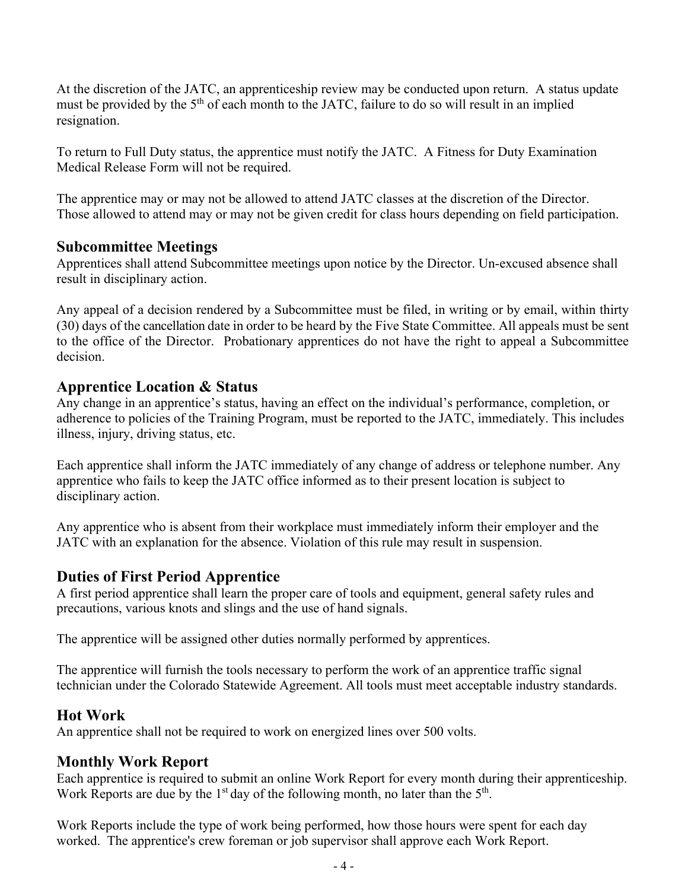At the discretion of the JATC, an apprenticeship review may be conducted upon return. A status update must be provided by the  $5<sup>th</sup>$  of each month to the JATC, failure to do so will result in an implied resignation.

To return to Full Duty status, the apprentice must notify the JATC. A Fitness for Duty Examination Medical Release Form will not be required.

The apprentice may or may not be allowed to attend JATC classes at the discretion of the Director. Those allowed to attend may or may not be given credit for class hours depending on field participation.

## **Subcommittee Meetings**

Apprentices shall attend Subcommittee meetings upon notice by the Director. Un-excused absence shall result in disciplinary action.

Any appeal of a decision rendered by a Subcommittee must be filed, in writing or by email, within thirty (30) days of the cancellation date in order to be heard by the Five State Committee. All appeals must be sent to the office of the Director. Probationary apprentices do not have the right to appeal a Subcommittee decision.

## **Apprentice Location & Status**

Any change in an apprentice's status, having an effect on the individual's performance, completion, or adherence to policies of the Training Program, must be reported to the JATC, immediately. This includes illness, injury, driving status, etc.

Each apprentice shall inform the JATC immediately of any change of address or telephone number. Any apprentice who fails to keep the JATC office informed as to their present location is subject to disciplinary action.

Any apprentice who is absent from their workplace must immediately inform their employer and the JATC with an explanation for the absence. Violation of this rule may result in suspension.

# **Duties of First Period Apprentice**

A first period apprentice shall learn the proper care of tools and equipment, general safety rules and precautions, various knots and slings and the use of hand signals.

The apprentice will be assigned other duties normally performed by apprentices.

The apprentice will furnish the tools necessary to perform the work of an apprentice traffic signal technician under the Colorado Statewide Agreement. All tools must meet acceptable industry standards.

## **Hot Work**

An apprentice shall not be required to work on energized lines over 500 volts.

## **Monthly Work Report**

Each apprentice is required to submit an online Work Report for every month during their apprenticeship. Work Reports are due by the  $1<sup>st</sup>$  day of the following month, no later than the  $5<sup>th</sup>$ .

Work Reports include the type of work being performed, how those hours were spent for each day worked. The apprentice's crew foreman or job supervisor shall approve each Work Report.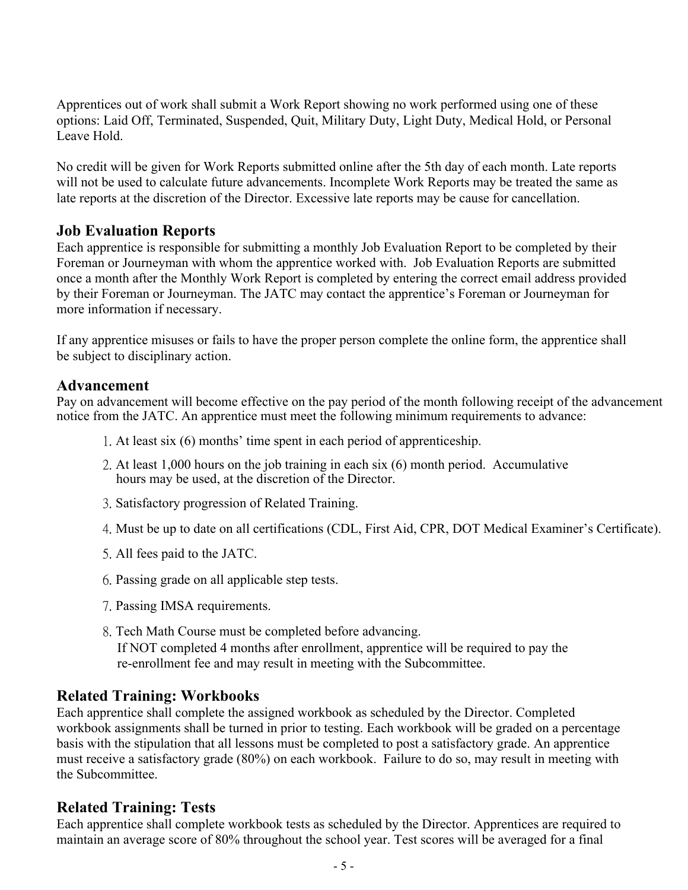Apprentices out of work shall submit a Work Report showing no work performed using one of these options: Laid Off, Terminated, Suspended, Quit, Military Duty, Light Duty, Medical Hold, or Personal Leave Hold.

No credit will be given for Work Reports submitted online after the 5th day of each month. Late reports will not be used to calculate future advancements. Incomplete Work Reports may be treated the same as late reports at the discretion of the Director. Excessive late reports may be cause for cancellation.

## **Job Evaluation Reports**

Each apprentice is responsible for submitting a monthly Job Evaluation Report to be completed by their Foreman or Journeyman with whom the apprentice worked with. Job Evaluation Reports are submitted once a month after the Monthly Work Report is completed by entering the correct email address provided by their Foreman or Journeyman. The JATC may contact the apprentice's Foreman or Journeyman for more information if necessary.

If any apprentice misuses or fails to have the proper person complete the online form, the apprentice shall be subject to disciplinary action.

#### **Advancement**

Pay on advancement will become effective on the pay period of the month following receipt of the advancement notice from the JATC. An apprentice must meet the following minimum requirements to advance:

- 1. At least six (6) months' time spent in each period of apprenticeship.
- 2. At least 1,000 hours on the job training in each six (6) month period. Accumulative hours may be used, at the discretion of the Director.
- 3. Satisfactory progression of Related Training.
- 4. Must be up to date on all certifications (CDL, First Aid, CPR, DOT Medical Examiner's Certificate).
- 5. All fees paid to the JATC.
- 6. Passing grade on all applicable step tests.
- 7. Passing IMSA requirements.
- 8. Tech Math Course must be completed before advancing. If NOT completed 4 months after enrollment, apprentice will be required to pay the re-enrollment fee and may result in meeting with the Subcommittee.

#### **Related Training: Workbooks**

Each apprentice shall complete the assigned workbook as scheduled by the Director. Completed workbook assignments shall be turned in prior to testing. Each workbook will be graded on a percentage basis with the stipulation that all lessons must be completed to post a satisfactory grade. An apprentice must receive a satisfactory grade (80%) on each workbook. Failure to do so, may result in meeting with the Subcommittee.

#### **Related Training: Tests**

Each apprentice shall complete workbook tests as scheduled by the Director. Apprentices are required to maintain an average score of 80% throughout the school year. Test scores will be averaged for a final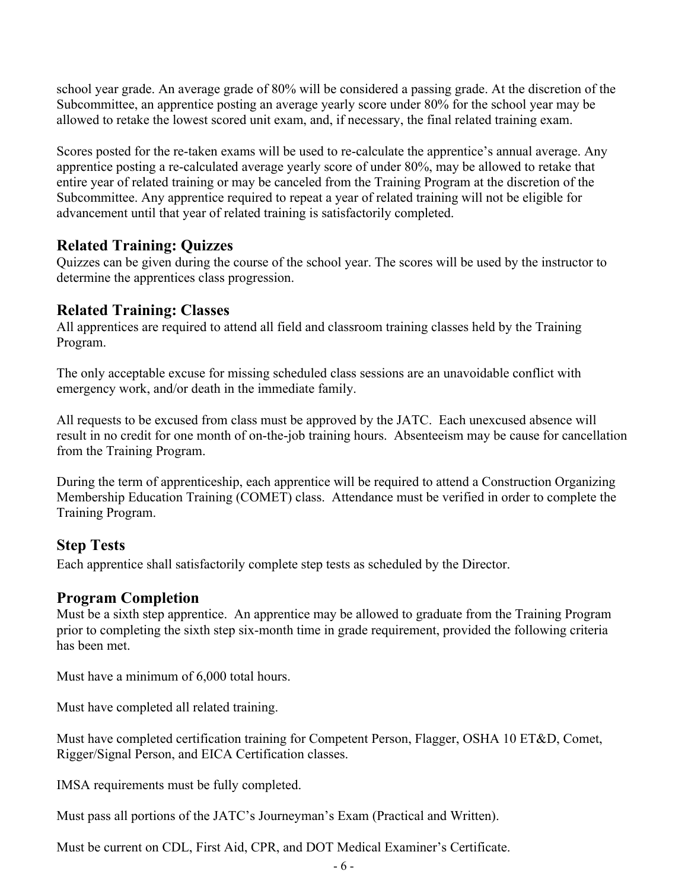school year grade. An average grade of 80% will be considered a passing grade. At the discretion of the Subcommittee, an apprentice posting an average yearly score under 80% for the school year may be allowed to retake the lowest scored unit exam, and, if necessary, the final related training exam.

Scores posted for the re-taken exams will be used to re-calculate the apprentice's annual average. Any apprentice posting a re-calculated average yearly score of under 80%, may be allowed to retake that entire year of related training or may be canceled from the Training Program at the discretion of the Subcommittee. Any apprentice required to repeat a year of related training will not be eligible for advancement until that year of related training is satisfactorily completed.

## **Related Training: Quizzes**

Quizzes can be given during the course of the school year. The scores will be used by the instructor to determine the apprentices class progression.

# **Related Training: Classes**

All apprentices are required to attend all field and classroom training classes held by the Training Program.

The only acceptable excuse for missing scheduled class sessions are an unavoidable conflict with emergency work, and/or death in the immediate family.

All requests to be excused from class must be approved by the JATC. Each unexcused absence will result in no credit for one month of on-the-job training hours. Absenteeism may be cause for cancellation from the Training Program.

During the term of apprenticeship, each apprentice will be required to attend a Construction Organizing Membership Education Training (COMET) class. Attendance must be verified in order to complete the Training Program.

## **Step Tests**

Each apprentice shall satisfactorily complete step tests as scheduled by the Director.

## **Program Completion**

Must be a sixth step apprentice. An apprentice may be allowed to graduate from the Training Program prior to completing the sixth step six-month time in grade requirement, provided the following criteria has been met.

Must have a minimum of 6,000 total hours.

Must have completed all related training.

Must have completed certification training for Competent Person, Flagger, OSHA 10 ET&D, Comet, Rigger/Signal Person, and EICA Certification classes.

IMSA requirements must be fully completed.

Must pass all portions of the JATC's Journeyman's Exam (Practical and Written).

Must be current on CDL, First Aid, CPR, and DOT Medical Examiner's Certificate.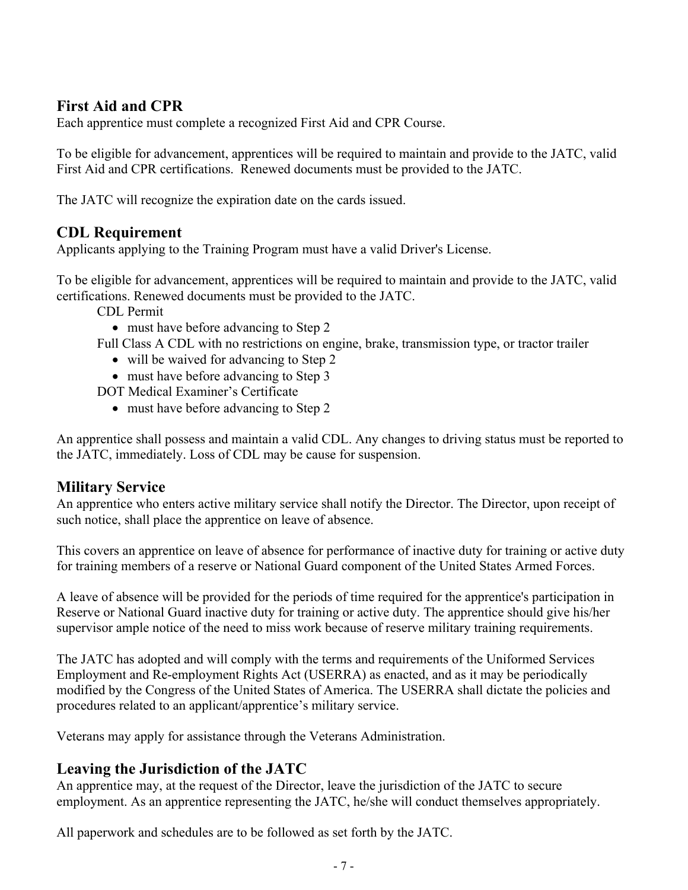# **First Aid and CPR**

Each apprentice must complete a recognized First Aid and CPR Course.

To be eligible for advancement, apprentices will be required to maintain and provide to the JATC, valid First Aid and CPR certifications. Renewed documents must be provided to the JATC.

The JATC will recognize the expiration date on the cards issued.

# **CDL Requirement**

Applicants applying to the Training Program must have a valid Driver's License.

To be eligible for advancement, apprentices will be required to maintain and provide to the JATC, valid certifications. Renewed documents must be provided to the JATC.

- CDL Permit
	- must have before advancing to Step 2
- Full Class A CDL with no restrictions on engine, brake, transmission type, or tractor trailer
	- will be waived for advancing to Step 2
	- must have before advancing to Step 3

DOT Medical Examiner's Certificate

• must have before advancing to Step 2

An apprentice shall possess and maintain a valid CDL. Any changes to driving status must be reported to the JATC, immediately. Loss of CDL may be cause for suspension.

## **Military Service**

An apprentice who enters active military service shall notify the Director. The Director, upon receipt of such notice, shall place the apprentice on leave of absence.

This covers an apprentice on leave of absence for performance of inactive duty for training or active duty for training members of a reserve or National Guard component of the United States Armed Forces.

A leave of absence will be provided for the periods of time required for the apprentice's participation in Reserve or National Guard inactive duty for training or active duty. The apprentice should give his/her supervisor ample notice of the need to miss work because of reserve military training requirements.

The JATC has adopted and will comply with the terms and requirements of the Uniformed Services Employment and Re-employment Rights Act (USERRA) as enacted, and as it may be periodically modified by the Congress of the United States of America. The USERRA shall dictate the policies and procedures related to an applicant/apprentice's military service.

Veterans may apply for assistance through the Veterans Administration.

# **Leaving the Jurisdiction of the JATC**

An apprentice may, at the request of the Director, leave the jurisdiction of the JATC to secure employment. As an apprentice representing the JATC, he/she will conduct themselves appropriately.

All paperwork and schedules are to be followed as set forth by the JATC.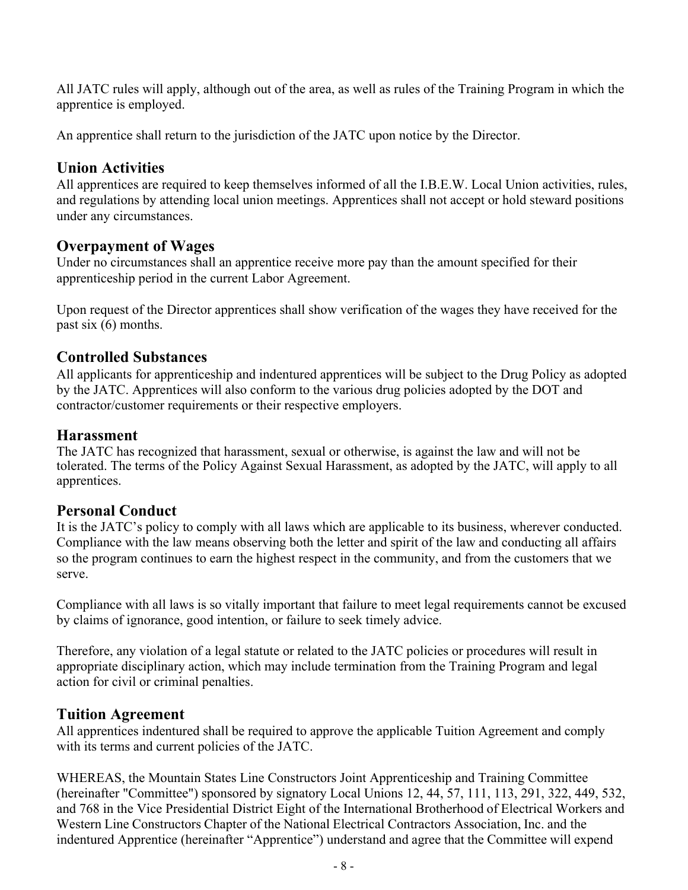All JATC rules will apply, although out of the area, as well as rules of the Training Program in which the apprentice is employed.

An apprentice shall return to the jurisdiction of the JATC upon notice by the Director.

#### **Union Activities**

All apprentices are required to keep themselves informed of all the I.B.E.W. Local Union activities, rules, and regulations by attending local union meetings. Apprentices shall not accept or hold steward positions under any circumstances.

## **Overpayment of Wages**

Under no circumstances shall an apprentice receive more pay than the amount specified for their apprenticeship period in the current Labor Agreement.

Upon request of the Director apprentices shall show verification of the wages they have received for the past six (6) months.

## **Controlled Substances**

All applicants for apprenticeship and indentured apprentices will be subject to the Drug Policy as adopted by the JATC. Apprentices will also conform to the various drug policies adopted by the DOT and contractor/customer requirements or their respective employers.

#### **Harassment**

The JATC has recognized that harassment, sexual or otherwise, is against the law and will not be tolerated. The terms of the Policy Against Sexual Harassment, as adopted by the JATC, will apply to all apprentices.

#### **Personal Conduct**

It is the JATC's policy to comply with all laws which are applicable to its business, wherever conducted. Compliance with the law means observing both the letter and spirit of the law and conducting all affairs so the program continues to earn the highest respect in the community, and from the customers that we serve.

Compliance with all laws is so vitally important that failure to meet legal requirements cannot be excused by claims of ignorance, good intention, or failure to seek timely advice.

Therefore, any violation of a legal statute or related to the JATC policies or procedures will result in appropriate disciplinary action, which may include termination from the Training Program and legal action for civil or criminal penalties.

#### **Tuition Agreement**

All apprentices indentured shall be required to approve the applicable Tuition Agreement and comply with its terms and current policies of the JATC.

WHEREAS, the Mountain States Line Constructors Joint Apprenticeship and Training Committee (hereinafter "Committee") sponsored by signatory Local Unions 12, 44, 57, 111, 113, 291, 322, 449, 532, and 768 in the Vice Presidential District Eight of the International Brotherhood of Electrical Workers and Western Line Constructors Chapter of the National Electrical Contractors Association, Inc. and the indentured Apprentice (hereinafter "Apprentice") understand and agree that the Committee will expend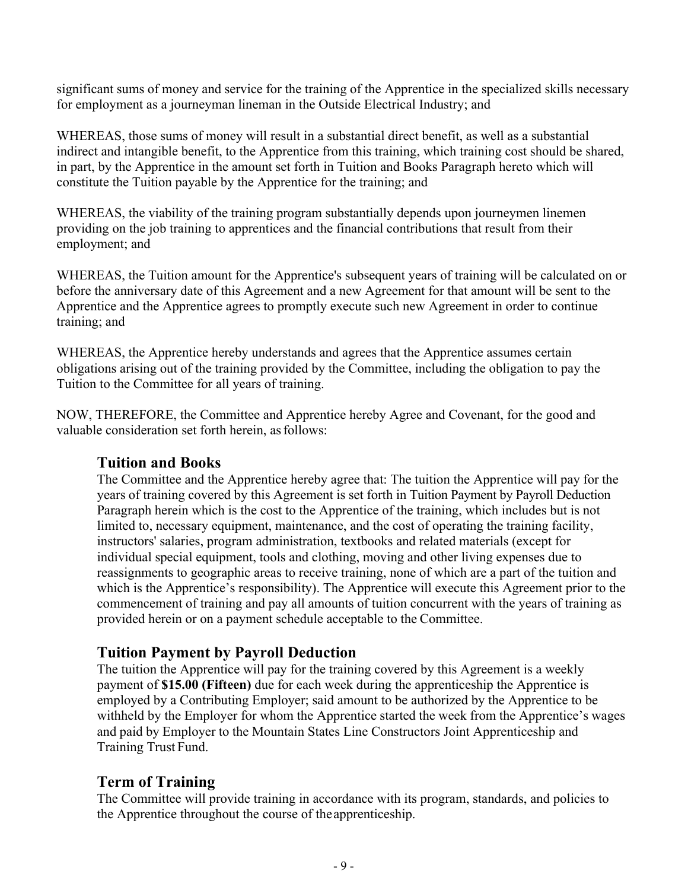significant sums of money and service for the training of the Apprentice in the specialized skills necessary for employment as a journeyman lineman in the Outside Electrical Industry; and

WHEREAS, those sums of money will result in a substantial direct benefit, as well as a substantial indirect and intangible benefit, to the Apprentice from this training, which training cost should be shared, in part, by the Apprentice in the amount set forth in Tuition and Books Paragraph hereto which will constitute the Tuition payable by the Apprentice for the training; and

WHEREAS, the viability of the training program substantially depends upon journeymen linemen providing on the job training to apprentices and the financial contributions that result from their employment; and

WHEREAS, the Tuition amount for the Apprentice's subsequent years of training will be calculated on or before the anniversary date of this Agreement and a new Agreement for that amount will be sent to the Apprentice and the Apprentice agrees to promptly execute such new Agreement in order to continue training; and

WHEREAS, the Apprentice hereby understands and agrees that the Apprentice assumes certain obligations arising out of the training provided by the Committee, including the obligation to pay the Tuition to the Committee for all years of training.

NOW, THEREFORE, the Committee and Apprentice hereby Agree and Covenant, for the good and valuable consideration set forth herein, as follows:

#### **Tuition and Books**

The Committee and the Apprentice hereby agree that: The tuition the Apprentice will pay for the years of training covered by this Agreement is set forth in Tuition Payment by Payroll Deduction Paragraph herein which is the cost to the Apprentice of the training, which includes but is not limited to, necessary equipment, maintenance, and the cost of operating the training facility, instructors' salaries, program administration, textbooks and related materials (except for individual special equipment, tools and clothing, moving and other living expenses due to reassignments to geographic areas to receive training, none of which are a part of the tuition and which is the Apprentice's responsibility). The Apprentice will execute this Agreement prior to the commencement of training and pay all amounts of tuition concurrent with the years of training as provided herein or on a payment schedule acceptable to the Committee.

#### **Tuition Payment by Payroll Deduction**

The tuition the Apprentice will pay for the training covered by this Agreement is a weekly payment of **\$15.00 (Fifteen)** due for each week during the apprenticeship the Apprentice is employed by a Contributing Employer; said amount to be authorized by the Apprentice to be withheld by the Employer for whom the Apprentice started the week from the Apprentice's wages and paid by Employer to the Mountain States Line Constructors Joint Apprenticeship and Training Trust Fund.

#### **Term of Training**

The Committee will provide training in accordance with its program, standards, and policies to the Apprentice throughout the course of the apprenticeship.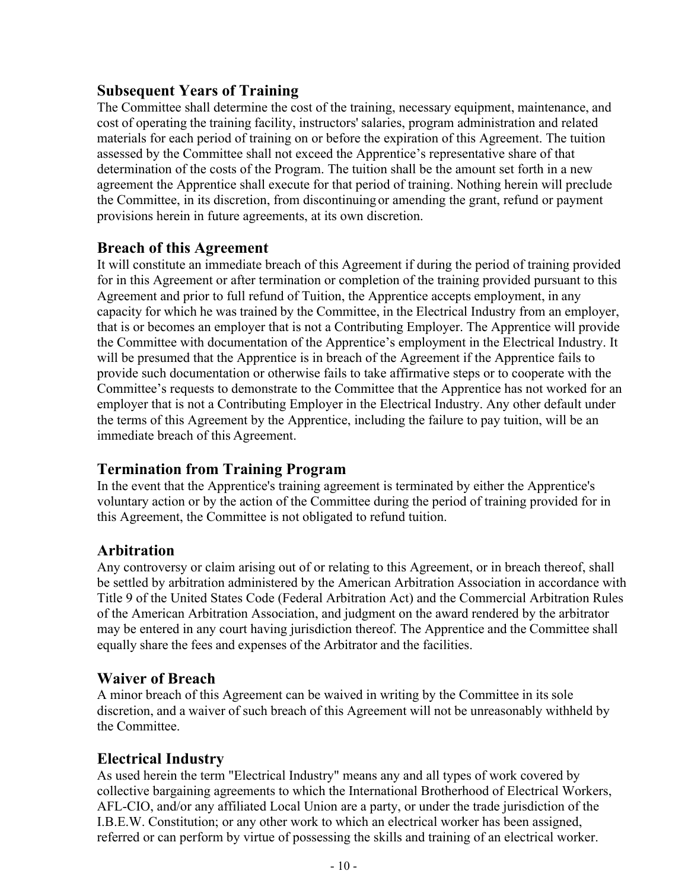## **Subsequent Years of Training**

The Committee shall determine the cost of the training, necessary equipment, maintenance, and cost of operating the training facility, instructors' salaries, program administration and related materials for each period of training on or before the expiration of this Agreement. The tuition assessed by the Committee shall not exceed the Apprentice's representative share of that determination of the costs of the Program. The tuition shall be the amount set forth in a new agreement the Apprentice shall execute for that period of training. Nothing herein will preclude the Committee, in its discretion, from discontinuing or amending the grant, refund or payment provisions herein in future agreements, at its own discretion.

#### **Breach of this Agreement**

It will constitute an immediate breach of this Agreement if during the period of training provided for in this Agreement or after termination or completion of the training provided pursuant to this Agreement and prior to full refund of Tuition, the Apprentice accepts employment, in any capacity for which he was trained by the Committee, in the Electrical Industry from an employer, that is or becomes an employer that is not a Contributing Employer. The Apprentice will provide the Committee with documentation of the Apprentice's employment in the Electrical Industry. It will be presumed that the Apprentice is in breach of the Agreement if the Apprentice fails to provide such documentation or otherwise fails to take affirmative steps or to cooperate with the Committee's requests to demonstrate to the Committee that the Apprentice has not worked for an employer that is not a Contributing Employer in the Electrical Industry. Any other default under the terms of this Agreement by the Apprentice, including the failure to pay tuition, will be an immediate breach of this Agreement.

## **Termination from Training Program**

In the event that the Apprentice's training agreement is terminated by either the Apprentice's voluntary action or by the action of the Committee during the period of training provided for in this Agreement, the Committee is not obligated to refund tuition.

## **Arbitration**

Any controversy or claim arising out of or relating to this Agreement, or in breach thereof, shall be settled by arbitration administered by the American Arbitration Association in accordance with Title 9 of the United States Code (Federal Arbitration Act) and the Commercial Arbitration Rules of the American Arbitration Association, and judgment on the award rendered by the arbitrator may be entered in any court having jurisdiction thereof. The Apprentice and the Committee shall equally share the fees and expenses of the Arbitrator and the facilities.

## **Waiver of Breach**

A minor breach of this Agreement can be waived in writing by the Committee in its sole discretion, and a waiver of such breach of this Agreement will not be unreasonably withheld by the Committee.

## **Electrical Industry**

As used herein the term "Electrical Industry" means any and all types of work covered by collective bargaining agreements to which the International Brotherhood of Electrical Workers, AFL-CIO, and/or any affiliated Local Union are a party, or under the trade jurisdiction of the I.B.E.W. Constitution; or any other work to which an electrical worker has been assigned, referred or can perform by virtue of possessing the skills and training of an electrical worker.